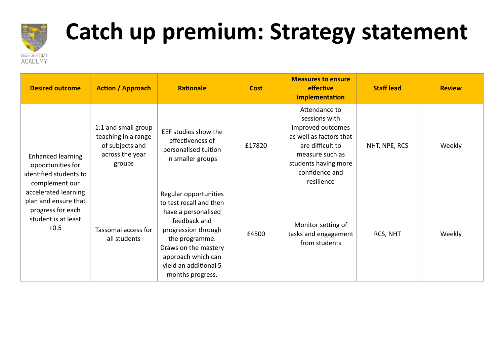

## **Catch up premium: Strategy statement**

| <b>Desired outcome</b>                                                                                                                                                                          | <b>Action / Approach</b>                                                                   | <b>Rationale</b>                                                                                                                                                                                                            | <b>Cost</b> | <b>Measures to ensure</b><br>effective<br>implementation                                                                                                                      | <b>Staff lead</b> | <b>Review</b> |
|-------------------------------------------------------------------------------------------------------------------------------------------------------------------------------------------------|--------------------------------------------------------------------------------------------|-----------------------------------------------------------------------------------------------------------------------------------------------------------------------------------------------------------------------------|-------------|-------------------------------------------------------------------------------------------------------------------------------------------------------------------------------|-------------------|---------------|
| <b>Enhanced learning</b><br>opportunities for<br>identified students to<br>complement our<br>accelerated learning<br>plan and ensure that<br>progress for each<br>student is at least<br>$+0.5$ | 1:1 and small group<br>teaching in a range<br>of subjects and<br>across the year<br>groups | EEF studies show the<br>effectiveness of<br>personalised tuition<br>in smaller groups                                                                                                                                       | £17820      | Attendance to<br>sessions with<br>improved outcomes<br>as well as factors that<br>are difficult to<br>measure such as<br>students having more<br>confidence and<br>resilience | NHT, NPE, RCS     | Weekly        |
|                                                                                                                                                                                                 | Tassomai access for<br>all students                                                        | Regular opportunities<br>to test recall and then<br>have a personalised<br>feedback and<br>progression through<br>the programme.<br>Draws on the mastery<br>approach which can<br>yield an additional 5<br>months progress. | £4500       | Monitor setting of<br>tasks and engagement<br>from students                                                                                                                   | RCS, NHT          | Weekly        |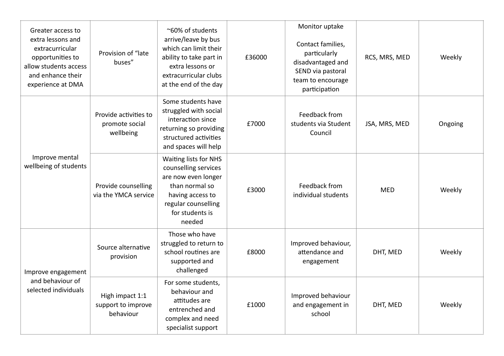| Greater access to<br>extra lessons and<br>extracurricular<br>opportunities to<br>allow students access<br>and enhance their<br>experience at DMA | Provision of "late<br>buses"                         | ~60% of students<br>arrive/leave by bus<br>which can limit their<br>ability to take part in<br>extra lessons or<br>extracurricular clubs<br>at the end of the day | £36000 | Monitor uptake<br>Contact families,<br>particularly<br>disadvantaged and<br>SEND via pastoral<br>team to encourage<br>participation | RCS, MRS, MED | Weekly  |
|--------------------------------------------------------------------------------------------------------------------------------------------------|------------------------------------------------------|-------------------------------------------------------------------------------------------------------------------------------------------------------------------|--------|-------------------------------------------------------------------------------------------------------------------------------------|---------------|---------|
| Improve mental<br>wellbeing of students                                                                                                          | Provide activities to<br>promote social<br>wellbeing | Some students have<br>struggled with social<br>interaction since<br>returning so providing<br>structured activities<br>and spaces will help                       | £7000  | Feedback from<br>students via Student<br>Council                                                                                    | JSA, MRS, MED | Ongoing |
|                                                                                                                                                  | Provide counselling<br>via the YMCA service          | Waiting lists for NHS<br>counselling services<br>are now even longer<br>than normal so<br>having access to<br>regular counselling<br>for students is<br>needed    | £3000  | Feedback from<br>individual students                                                                                                | <b>MED</b>    | Weekly  |
| Improve engagement<br>and behaviour of<br>selected individuals                                                                                   | Source alternative<br>provision                      | Those who have<br>struggled to return to<br>school routines are<br>supported and<br>challenged                                                                    | £8000  | Improved behaviour,<br>attendance and<br>engagement                                                                                 | DHT, MED      | Weekly  |
|                                                                                                                                                  | High impact 1:1<br>support to improve<br>behaviour   | For some students,<br>behaviour and<br>attitudes are<br>entrenched and<br>complex and need<br>specialist support                                                  | £1000  | Improved behaviour<br>and engagement in<br>school                                                                                   | DHT, MED      | Weekly  |